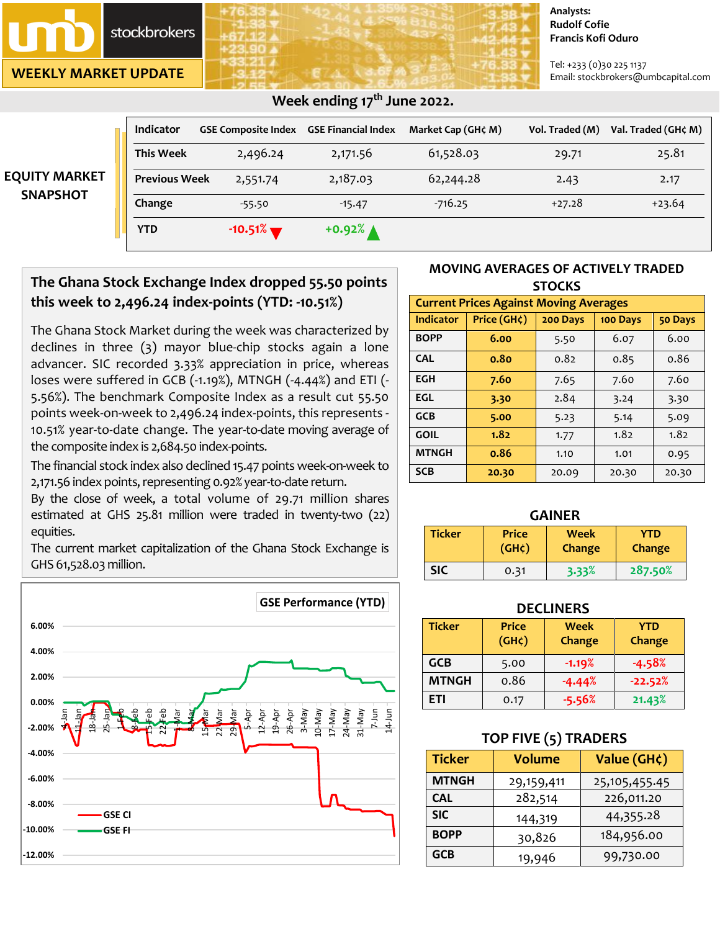stockbrokers

**WEEKLY MARKET UPDATE**

#### **Analysts: Rudolf Cofie Francis Kofi Oduro**

Tel: +233 (0)30 225 1137 Email: stockbrokers@umbcapital.com

|                      | <b>Indicator</b>     | <b>GSE Composite Index</b> | <b>GSE Financial Index</b> | Market Cap (GH¢ M) | Vol. Traded (M) | Val. Traded (GH¢ M) |
|----------------------|----------------------|----------------------------|----------------------------|--------------------|-----------------|---------------------|
| <b>EQUITY MARKET</b> | <b>This Week</b>     | 2,496.24                   | 2,171.56                   | 61,528.03          | 29.71           | 25.81               |
|                      | <b>Previous Week</b> | 2,551.74                   | 2,187.03                   | 62,244.28          | 2.43            | 2.17                |
| <b>SNAPSHOT</b>      | Change               | $-55.50$                   | $-15.47$                   | $-716.25$          | $+27.28$        | $+23.64$            |
|                      | <b>YTD</b>           | $-10.51\%$                 | $+0.92%$ $\triangle$       |                    |                 |                     |

# **The Ghana Stock Exchange Index dropped 55.50 points this week to 2,496.24 index-points (YTD: -10.51%)**

 **Week ending 17 th June 2022.** 

The Ghana Stock Market during the week was characterized by declines in three (3) mayor blue-chip stocks again a lone advancer. SIC recorded 3.33% appreciation in price, whereas loses were suffered in GCB (-1.19%), MTNGH (-4.44%) and ETI (- 5.56%). The benchmark Composite Index as a result cut 55.50 points week-on-week to 2,496.24 index-points, this represents - 10.51% year-to-date change. The year-to-date moving average of the composite index is 2,684.50 index-points.

The financial stock index also declined 15.47 points week-on-week to 2,171.56 index points, representing 0.92% year-to-date return.

By the close of week, a total volume of 29.71 million shares estimated at GHS 25.81 million were traded in twenty-two (22) equities.

The current market capitalization of the Ghana Stock Exchange is GHS 61,528.03 million.



## **MOVING AVERAGES OF ACTIVELY TRADED STOCKS**

| <b>Current Prices Against Moving Averages</b> |             |          |          |         |  |  |
|-----------------------------------------------|-------------|----------|----------|---------|--|--|
| <b>Indicator</b>                              | Price (GH¢) | 200 Days | 100 Days | 50 Days |  |  |
| <b>BOPP</b>                                   | 6.00        | 5.50     | 6.07     | 6.00    |  |  |
| <b>CAL</b>                                    | 0.80        | 0.82     | 0.85     | 0.86    |  |  |
| <b>EGH</b>                                    | 7.60        | 7.65     | 7.60     | 7.60    |  |  |
| EGL                                           | 3.30        | 2.84     | 3.24     | 3.30    |  |  |
| <b>GCB</b>                                    | 5.00        | 5.23     | 5.14     | 5.09    |  |  |
| <b>GOIL</b>                                   | 1.82        | 1.77     | 1.82     | 1.82    |  |  |
| <b>MTNGH</b>                                  | 0.86        | 1.10     | 1.01     | 0.95    |  |  |
| <b>SCB</b>                                    | 20.30       | 20.09    | 20.30    | 20.30   |  |  |

| <b>GAINER</b> |                             |                       |                      |  |  |
|---------------|-----------------------------|-----------------------|----------------------|--|--|
| <b>Ticker</b> | <b>Price</b><br>$(GH\zeta)$ | <b>Week</b><br>Change | <b>YTD</b><br>Change |  |  |
| <b>SIC</b>    | 0.31                        | 3.33%                 | 287.50%              |  |  |

## **DECLINERS**

| <b>Ticker</b> | <b>Price</b><br>(GH <sub>c</sub> ) | Week<br>Change | YTD<br>Change |
|---------------|------------------------------------|----------------|---------------|
| <b>GCB</b>    | 5.00                               | $-1.19%$       | $-4.58%$      |
| <b>MTNGH</b>  | 0.86                               | $-4.44%$       | $-22.52%$     |
| FTI           | 0.17                               | $-5.56%$       | 21.43%        |

## **TOP FIVE (5) TRADERS**

| <b>Ticker</b> | <b>Volume</b> | Value (GH¢)   |  |
|---------------|---------------|---------------|--|
| <b>MTNGH</b>  | 29,159,411    | 25,105,455.45 |  |
| <b>CAL</b>    | 282,514       | 226,011.20    |  |
| <b>SIC</b>    | 144,319       | 44,355.28     |  |
| <b>BOPP</b>   | 30,826        | 184,956.00    |  |
| <b>GCB</b>    | 19,946        | 99,730.00     |  |